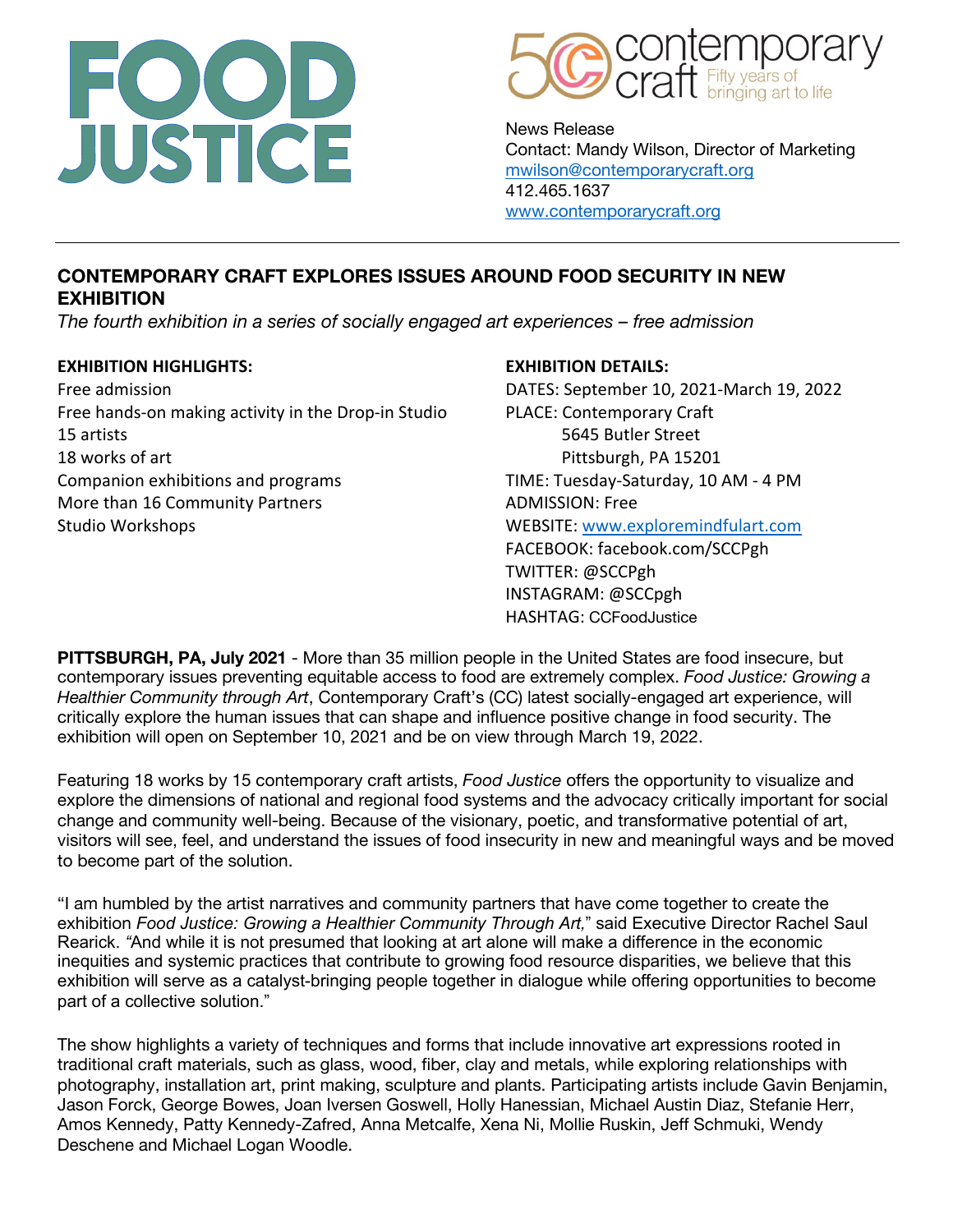



News Release Contact: Mandy Wilson, Director of Marketing mwilson@contemporarycraft.org 412.465.1637 www.contemporarycraft.org

# **CONTEMPORARY CRAFT EXPLORES ISSUES AROUND FOOD SECURITY IN NEW EXHIBITION**

*The fourth exhibition in a series of socially engaged art experiences – free admission* 

#### **EXHIBITION HIGHLIGHTS: EXHIBITION DETAILS:**

Free admission DATES: September 10, 2021-March 19, 2022 Free hands-on making activity in the Drop-in Studio PLACE: Contemporary Craft 15 artists 5645 Butler Street 18 works of art **Pittsburgh, PA 15201** Companion exhibitions and programs TIME: Tuesday-Saturday, 10 AM - 4 PM More than 16 Community Partners **ADMISSION: Free** Studio Workshops WEBSITE: www.exploremindfulart.com

FACEBOOK: facebook.com/SCCPgh TWITTER: @SCCPgh INSTAGRAM: @SCCpgh HASHTAG: CCFoodJustice

**PITTSBURGH, PA, July 2021** - More than 35 million people in the United States are food insecure, but contemporary issues preventing equitable access to food are extremely complex. *Food Justice: Growing a Healthier Community through Art*, Contemporary Craft's (CC) latest socially-engaged art experience, will critically explore the human issues that can shape and influence positive change in food security. The exhibition will open on September 10, 2021 and be on view through March 19, 2022.

Featuring 18 works by 15 contemporary craft artists, *Food Justice* offers the opportunity to visualize and explore the dimensions of national and regional food systems and the advocacy critically important for social change and community well-being. Because of the visionary, poetic, and transformative potential of art, visitors will see, feel, and understand the issues of food insecurity in new and meaningful ways and be moved to become part of the solution.

"I am humbled by the artist narratives and community partners that have come together to create the exhibition *Food Justice: Growing a Healthier Community Through Art,*" said Executive Director Rachel Saul Rearick. *"*And while it is not presumed that looking at art alone will make a difference in the economic inequities and systemic practices that contribute to growing food resource disparities, we believe that this exhibition will serve as a catalyst-bringing people together in dialogue while offering opportunities to become part of a collective solution."

The show highlights a variety of techniques and forms that include innovative art expressions rooted in traditional craft materials, such as glass, wood, fiber, clay and metals, while exploring relationships with photography, installation art, print making, sculpture and plants. Participating artists include Gavin Benjamin, Jason Forck, George Bowes, Joan Iversen Goswell, Holly Hanessian, Michael Austin Diaz, Stefanie Herr, Amos Kennedy, Patty Kennedy-Zafred, Anna Metcalfe, Xena Ni, Mollie Ruskin, Jeff Schmuki, Wendy Deschene and Michael Logan Woodle.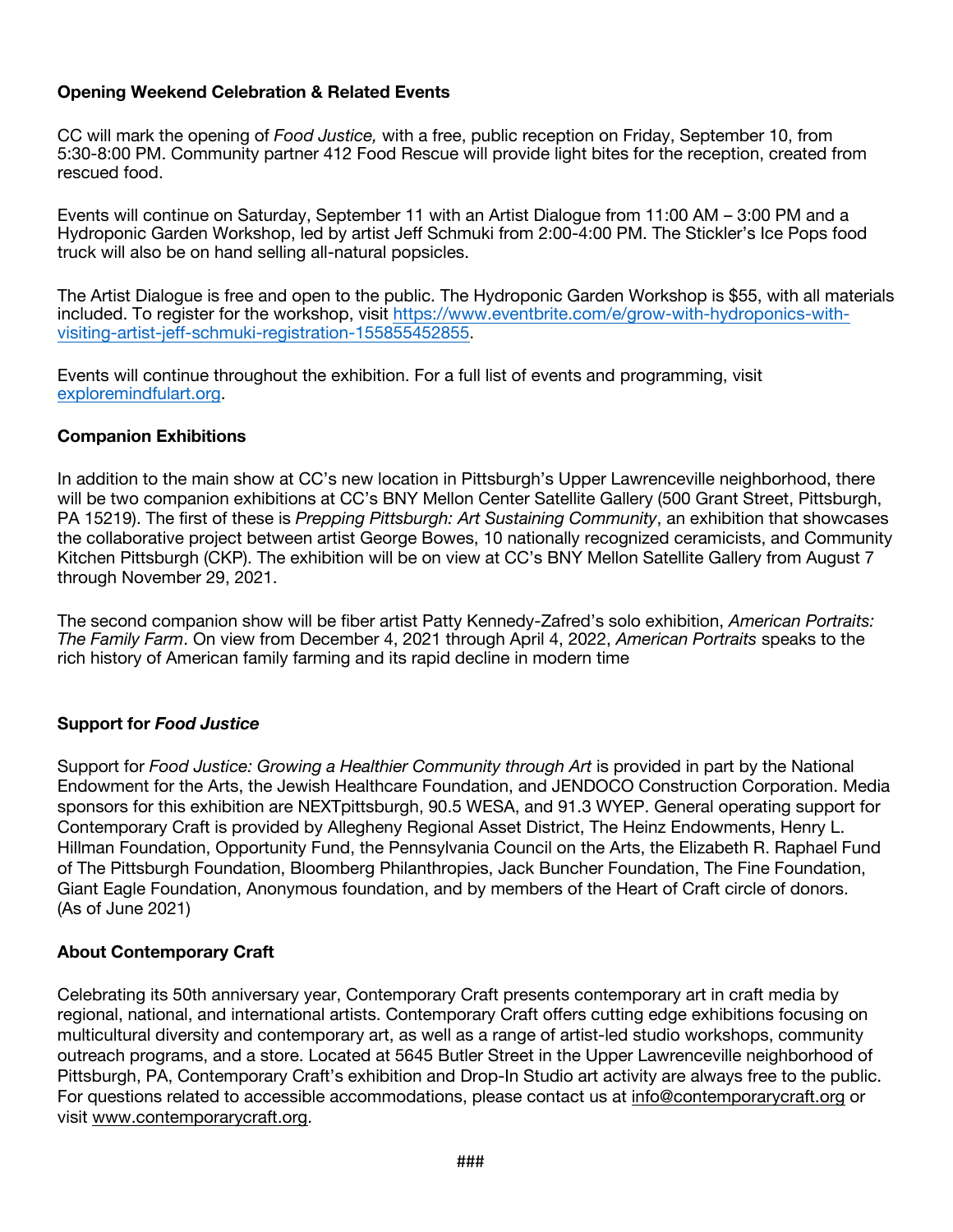#### **Opening Weekend Celebration & Related Events**

CC will mark the opening of *Food Justice,* with a free, public reception on Friday, September 10, from 5:30-8:00 PM. Community partner 412 Food Rescue will provide light bites for the reception, created from rescued food.

Events will continue on Saturday, September 11 with an Artist Dialogue from 11:00 AM – 3:00 PM and a Hydroponic Garden Workshop, led by artist Jeff Schmuki from 2:00-4:00 PM. The Stickler's Ice Pops food truck will also be on hand selling all-natural popsicles.

The Artist Dialogue is free and open to the public. The Hydroponic Garden Workshop is \$55, with all materials included. To register for the workshop, visit https://www.eventbrite.com/e/grow-with-hydroponics-withvisiting-artist-jeff-schmuki-registration-155855452855.

Events will continue throughout the exhibition. For a full list of events and programming, visit exploremindfulart.org.

#### **Companion Exhibitions**

In addition to the main show at CC's new location in Pittsburgh's Upper Lawrenceville neighborhood, there will be two companion exhibitions at CC's BNY Mellon Center Satellite Gallery (500 Grant Street, Pittsburgh, PA 15219). The first of these is *Prepping Pittsburgh: Art Sustaining Community*, an exhibition that showcases the collaborative project between artist George Bowes, 10 nationally recognized ceramicists, and Community Kitchen Pittsburgh (CKP). The exhibition will be on view at CC's BNY Mellon Satellite Gallery from August 7 through November 29, 2021.

The second companion show will be fiber artist Patty Kennedy-Zafred's solo exhibition, *American Portraits: The Family Farm*. On view from December 4, 2021 through April 4, 2022, *American Portraits* speaks to the rich history of American family farming and its rapid decline in modern time

#### **Support for** *Food Justice*

Support for *Food Justice: Growing a Healthier Community through Art* is provided in part by the National Endowment for the Arts, the Jewish Healthcare Foundation, and JENDOCO Construction Corporation. Media sponsors for this exhibition are NEXTpittsburgh, 90.5 WESA, and 91.3 WYEP. General operating support for Contemporary Craft is provided by Allegheny Regional Asset District, The Heinz Endowments, Henry L. Hillman Foundation, Opportunity Fund, the Pennsylvania Council on the Arts, the Elizabeth R. Raphael Fund of The Pittsburgh Foundation, Bloomberg Philanthropies, Jack Buncher Foundation, The Fine Foundation, Giant Eagle Foundation, Anonymous foundation, and by members of the Heart of Craft circle of donors. (As of June 2021)

#### **About Contemporary Craft**

Celebrating its 50th anniversary year, Contemporary Craft presents contemporary art in craft media by regional, national, and international artists. Contemporary Craft offers cutting edge exhibitions focusing on multicultural diversity and contemporary art, as well as a range of artist-led studio workshops, community outreach programs, and a store. Located at 5645 Butler Street in the Upper Lawrenceville neighborhood of Pittsburgh, PA, Contemporary Craft's exhibition and Drop-In Studio art activity are always free to the public. For questions related to accessible accommodations, please contact us at info@contemporarycraft.org or visit www.contemporarycraft.org.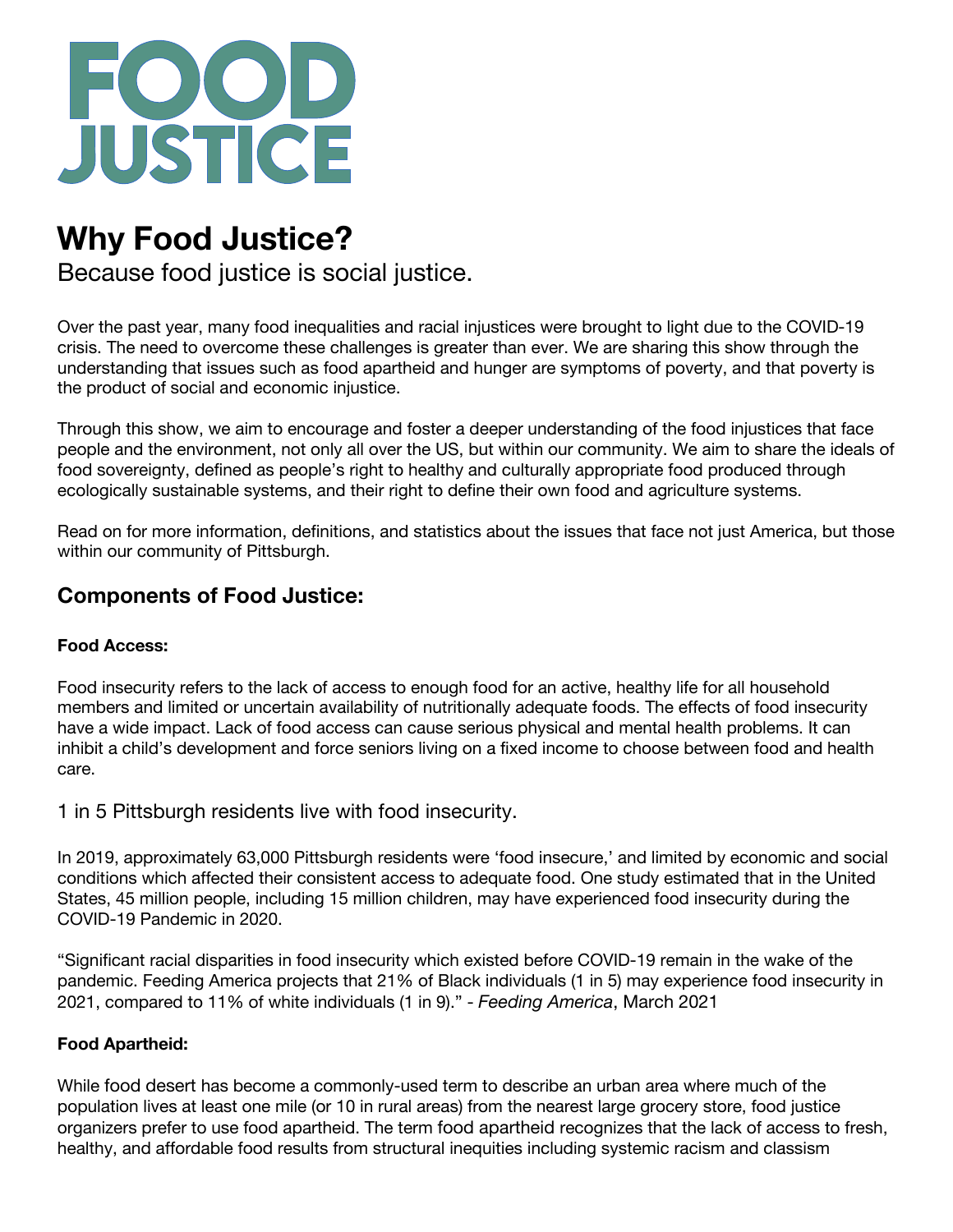

# **Why Food Justice?**

Because food justice is social justice.

Over the past year, many food inequalities and racial injustices were brought to light due to the COVID-19 crisis. The need to overcome these challenges is greater than ever. We are sharing this show through the understanding that issues such as food apartheid and hunger are symptoms of poverty, and that poverty is the product of social and economic injustice.

Through this show, we aim to encourage and foster a deeper understanding of the food injustices that face people and the environment, not only all over the US, but within our community. We aim to share the ideals of food sovereignty, defined as people's right to healthy and culturally appropriate food produced through ecologically sustainable systems, and their right to define their own food and agriculture systems.

Read on for more information, definitions, and statistics about the issues that face not just America, but those within our community of Pittsburgh.

# **Components of Food Justice:**

#### **Food Access:**

Food insecurity refers to the lack of access to enough food for an active, healthy life for all household members and limited or uncertain availability of nutritionally adequate foods. The effects of food insecurity have a wide impact. Lack of food access can cause serious physical and mental health problems. It can inhibit a child's development and force seniors living on a fixed income to choose between food and health care.

1 in 5 Pittsburgh residents live with food insecurity.

In 2019, approximately 63,000 Pittsburgh residents were 'food insecure,' and limited by economic and social conditions which affected their consistent access to adequate food. One study estimated that in the United States, 45 million people, including 15 million children, may have experienced food insecurity during the COVID-19 Pandemic in 2020.

"Significant racial disparities in food insecurity which existed before COVID-19 remain in the wake of the pandemic. Feeding America projects that 21% of Black individuals (1 in 5) may experience food insecurity in 2021, compared to 11% of white individuals (1 in 9)." - *Feeding America*, March 2021

# **Food Apartheid:**

While food desert has become a commonly-used term to describe an urban area where much of the population lives at least one mile (or 10 in rural areas) from the nearest large grocery store, food justice organizers prefer to use food apartheid. The term food apartheid recognizes that the lack of access to fresh, healthy, and affordable food results from structural inequities including systemic racism and classism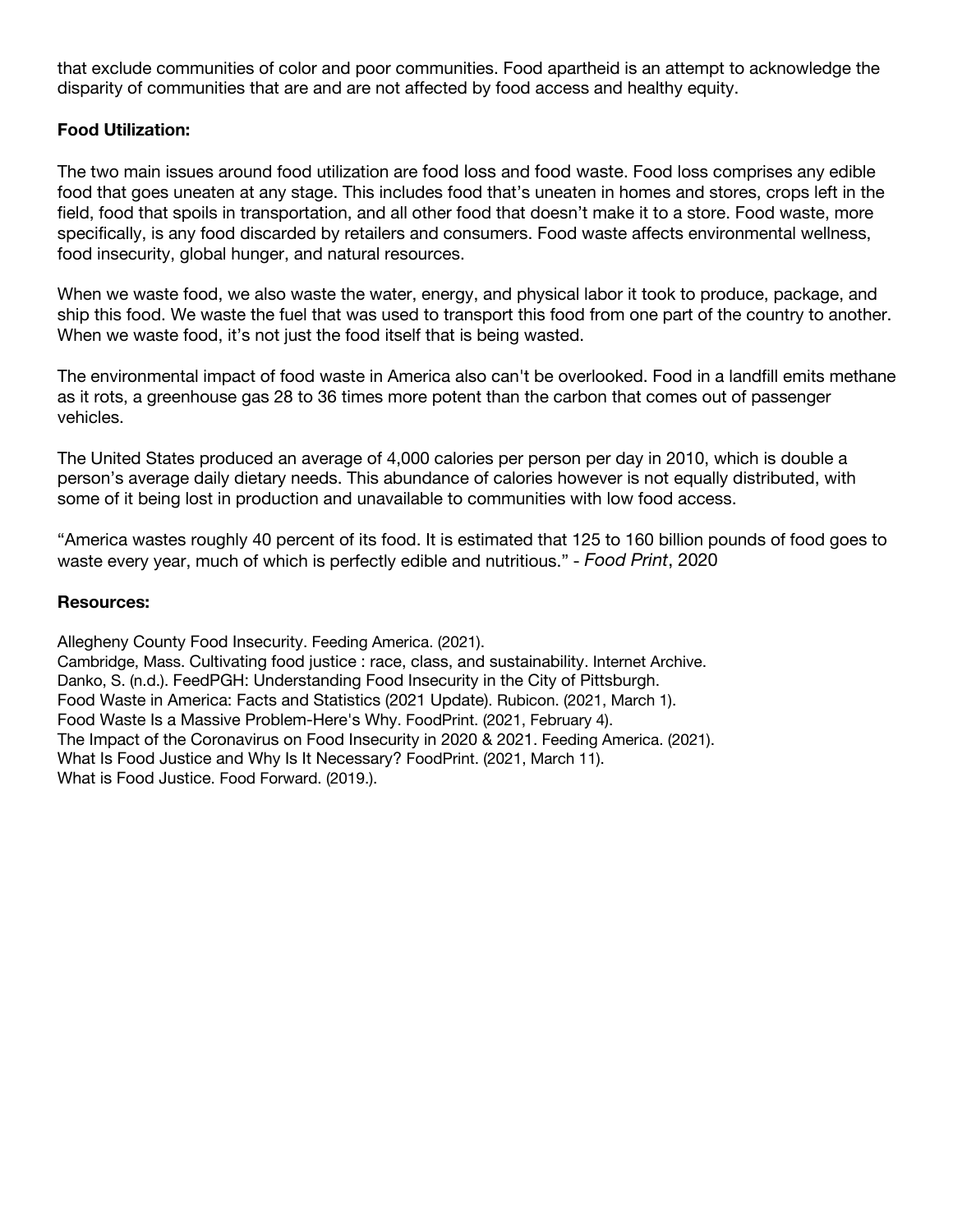that exclude communities of color and poor communities. Food apartheid is an attempt to acknowledge the disparity of communities that are and are not affected by food access and healthy equity.

#### **Food Utilization:**

The two main issues around food utilization are food loss and food waste. Food loss comprises any edible food that goes uneaten at any stage. This includes food that's uneaten in homes and stores, crops left in the field, food that spoils in transportation, and all other food that doesn't make it to a store. Food waste, more specifically, is any food discarded by retailers and consumers. Food waste affects environmental wellness, food insecurity, global hunger, and natural resources.

When we waste food, we also waste the water, energy, and physical labor it took to produce, package, and ship this food. We waste the fuel that was used to transport this food from one part of the country to another. When we waste food, it's not just the food itself that is being wasted.

The environmental impact of food waste in America also can't be overlooked. Food in a landfill emits methane as it rots, a greenhouse gas 28 to 36 times more potent than the carbon that comes out of passenger vehicles.

The United States produced an average of 4,000 calories per person per day in 2010, which is double a person's average daily dietary needs. This abundance of calories however is not equally distributed, with some of it being lost in production and unavailable to communities with low food access.

"America wastes roughly 40 percent of its food. It is estimated that 125 to 160 billion pounds of food goes to waste every year, much of which is perfectly edible and nutritious." - *Food Print*, 2020

#### **Resources:**

Allegheny County Food Insecurity. Feeding America. (2021). Cambridge, Mass. Cultivating food justice : race, class, and sustainability. Internet Archive. Danko, S. (n.d.). FeedPGH: Understanding Food Insecurity in the City of Pittsburgh. Food Waste in America: Facts and Statistics (2021 Update). Rubicon. (2021, March 1). Food Waste Is a Massive Problem-Here's Why. FoodPrint. (2021, February 4). The Impact of the Coronavirus on Food Insecurity in 2020 & 2021. Feeding America. (2021). What Is Food Justice and Why Is It Necessary? FoodPrint. (2021, March 11). What is Food Justice. Food Forward. (2019.).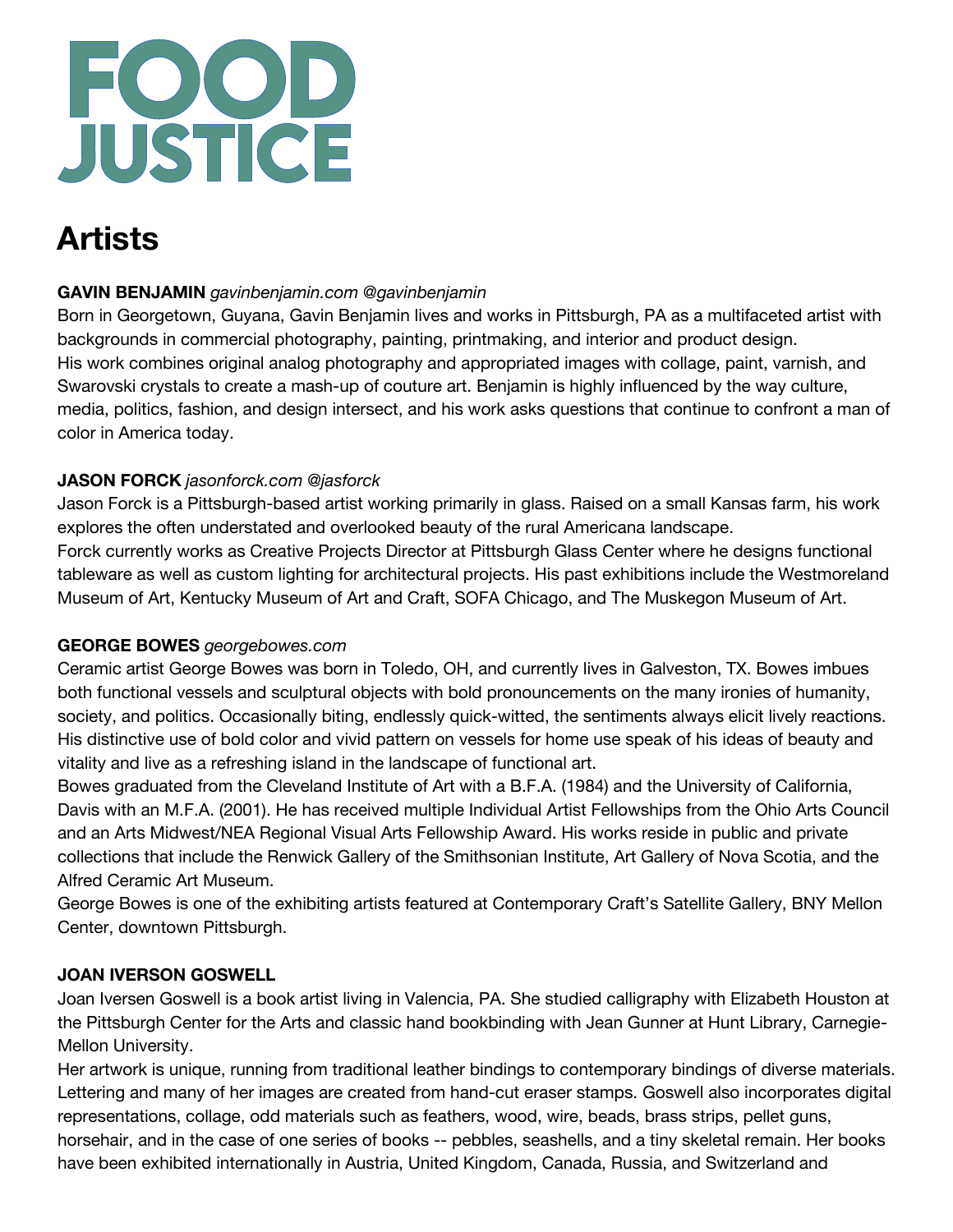

# **Artists**

# **GAVIN BENJAMIN** *gavinbenjamin.com @gavinbenjamin*

Born in Georgetown, Guyana, Gavin Benjamin lives and works in Pittsburgh, PA as a multifaceted artist with backgrounds in commercial photography, painting, printmaking, and interior and product design. His work combines original analog photography and appropriated images with collage, paint, varnish, and Swarovski crystals to create a mash-up of couture art. Benjamin is highly influenced by the way culture, media, politics, fashion, and design intersect, and his work asks questions that continue to confront a man of color in America today.

# **JASON FORCK** *jasonforck.com @jasforck*

Jason Forck is a Pittsburgh-based artist working primarily in glass. Raised on a small Kansas farm, his work explores the often understated and overlooked beauty of the rural Americana landscape. Forck currently works as Creative Projects Director at Pittsburgh Glass Center where he designs functional tableware as well as custom lighting for architectural projects. His past exhibitions include the Westmoreland Museum of Art, Kentucky Museum of Art and Craft, SOFA Chicago, and The Muskegon Museum of Art.

# **GEORGE BOWES** *georgebowes.com*

Ceramic artist George Bowes was born in Toledo, OH, and currently lives in Galveston, TX. Bowes imbues both functional vessels and sculptural objects with bold pronouncements on the many ironies of humanity, society, and politics. Occasionally biting, endlessly quick-witted, the sentiments always elicit lively reactions. His distinctive use of bold color and vivid pattern on vessels for home use speak of his ideas of beauty and vitality and live as a refreshing island in the landscape of functional art.

Bowes graduated from the Cleveland Institute of Art with a B.F.A. (1984) and the University of California, Davis with an M.F.A. (2001). He has received multiple Individual Artist Fellowships from the Ohio Arts Council and an Arts Midwest/NEA Regional Visual Arts Fellowship Award. His works reside in public and private collections that include the Renwick Gallery of the Smithsonian Institute, Art Gallery of Nova Scotia, and the Alfred Ceramic Art Museum.

George Bowes is one of the exhibiting artists featured at Contemporary Craft's Satellite Gallery, BNY Mellon Center, downtown Pittsburgh.

# **JOAN IVERSON GOSWELL**

Joan Iversen Goswell is a book artist living in Valencia, PA. She studied calligraphy with Elizabeth Houston at the Pittsburgh Center for the Arts and classic hand bookbinding with Jean Gunner at Hunt Library, Carnegie-Mellon University.

Her artwork is unique, running from traditional leather bindings to contemporary bindings of diverse materials. Lettering and many of her images are created from hand-cut eraser stamps. Goswell also incorporates digital representations, collage, odd materials such as feathers, wood, wire, beads, brass strips, pellet guns, horsehair, and in the case of one series of books -- pebbles, seashells, and a tiny skeletal remain. Her books have been exhibited internationally in Austria, United Kingdom, Canada, Russia, and Switzerland and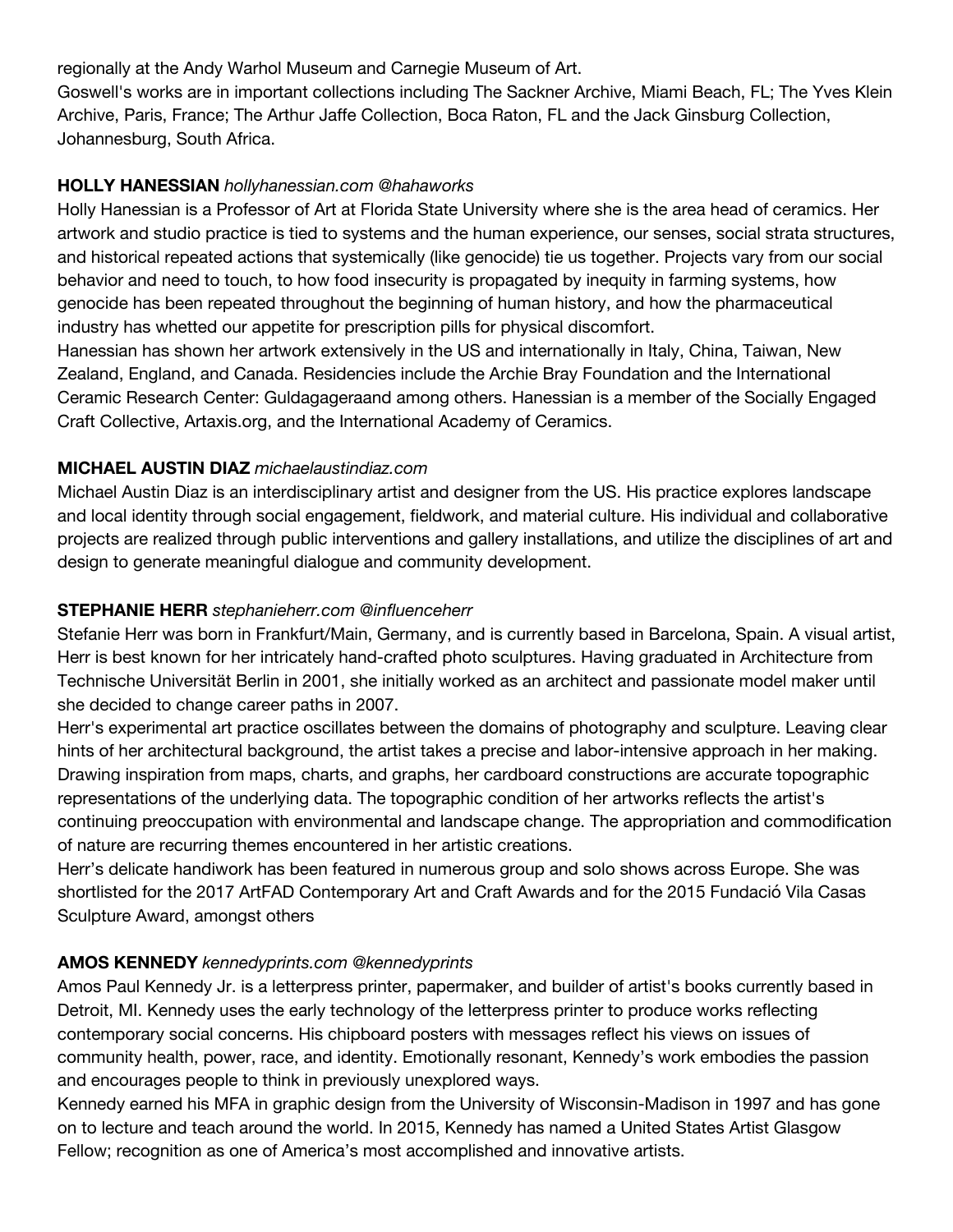regionally at the Andy Warhol Museum and Carnegie Museum of Art.

Goswell's works are in important collections including The Sackner Archive, Miami Beach, FL; The Yves Klein Archive, Paris, France; The Arthur Jaffe Collection, Boca Raton, FL and the Jack Ginsburg Collection, Johannesburg, South Africa.

#### **HOLLY HANESSIAN** *hollyhanessian.com @hahaworks*

Holly Hanessian is a Professor of Art at Florida State University where she is the area head of ceramics. Her artwork and studio practice is tied to systems and the human experience, our senses, social strata structures, and historical repeated actions that systemically (like genocide) tie us together. Projects vary from our social behavior and need to touch, to how food insecurity is propagated by inequity in farming systems, how genocide has been repeated throughout the beginning of human history, and how the pharmaceutical industry has whetted our appetite for prescription pills for physical discomfort.

Hanessian has shown her artwork extensively in the US and internationally in Italy, China, Taiwan, New Zealand, England, and Canada. Residencies include the Archie Bray Foundation and the International Ceramic Research Center: Guldagageraand among others. Hanessian is a member of the Socially Engaged Craft Collective, Artaxis.org, and the International Academy of Ceramics.

#### **MICHAEL AUSTIN DIAZ** *michaelaustindiaz.com*

Michael Austin Diaz is an interdisciplinary artist and designer from the US. His practice explores landscape and local identity through social engagement, fieldwork, and material culture. His individual and collaborative projects are realized through public interventions and gallery installations, and utilize the disciplines of art and design to generate meaningful dialogue and community development.

# **STEPHANIE HERR** *stephanieherr.com @influenceherr*

Stefanie Herr was born in Frankfurt/Main, Germany, and is currently based in Barcelona, Spain. A visual artist, Herr is best known for her intricately hand-crafted photo sculptures. Having graduated in Architecture from Technische Universität Berlin in 2001, she initially worked as an architect and passionate model maker until she decided to change career paths in 2007.

Herr's experimental art practice oscillates between the domains of photography and sculpture. Leaving clear hints of her architectural background, the artist takes a precise and labor-intensive approach in her making. Drawing inspiration from maps, charts, and graphs, her cardboard constructions are accurate topographic representations of the underlying data. The topographic condition of her artworks reflects the artist's continuing preoccupation with environmental and landscape change. The appropriation and commodification of nature are recurring themes encountered in her artistic creations.

Herr's delicate handiwork has been featured in numerous group and solo shows across Europe. She was shortlisted for the 2017 ArtFAD Contemporary Art and Craft Awards and for the 2015 Fundació Vila Casas Sculpture Award, amongst others

#### **AMOS KENNEDY** *kennedyprints.com @kennedyprints*

Amos Paul Kennedy Jr. is a letterpress printer, papermaker, and builder of artist's books currently based in Detroit, MI. Kennedy uses the early technology of the letterpress printer to produce works reflecting contemporary social concerns. His chipboard posters with messages reflect his views on issues of community health, power, race, and identity. Emotionally resonant, Kennedy's work embodies the passion and encourages people to think in previously unexplored ways.

Kennedy earned his MFA in graphic design from the University of Wisconsin-Madison in 1997 and has gone on to lecture and teach around the world. In 2015, Kennedy has named a United States Artist Glasgow Fellow; recognition as one of America's most accomplished and innovative artists.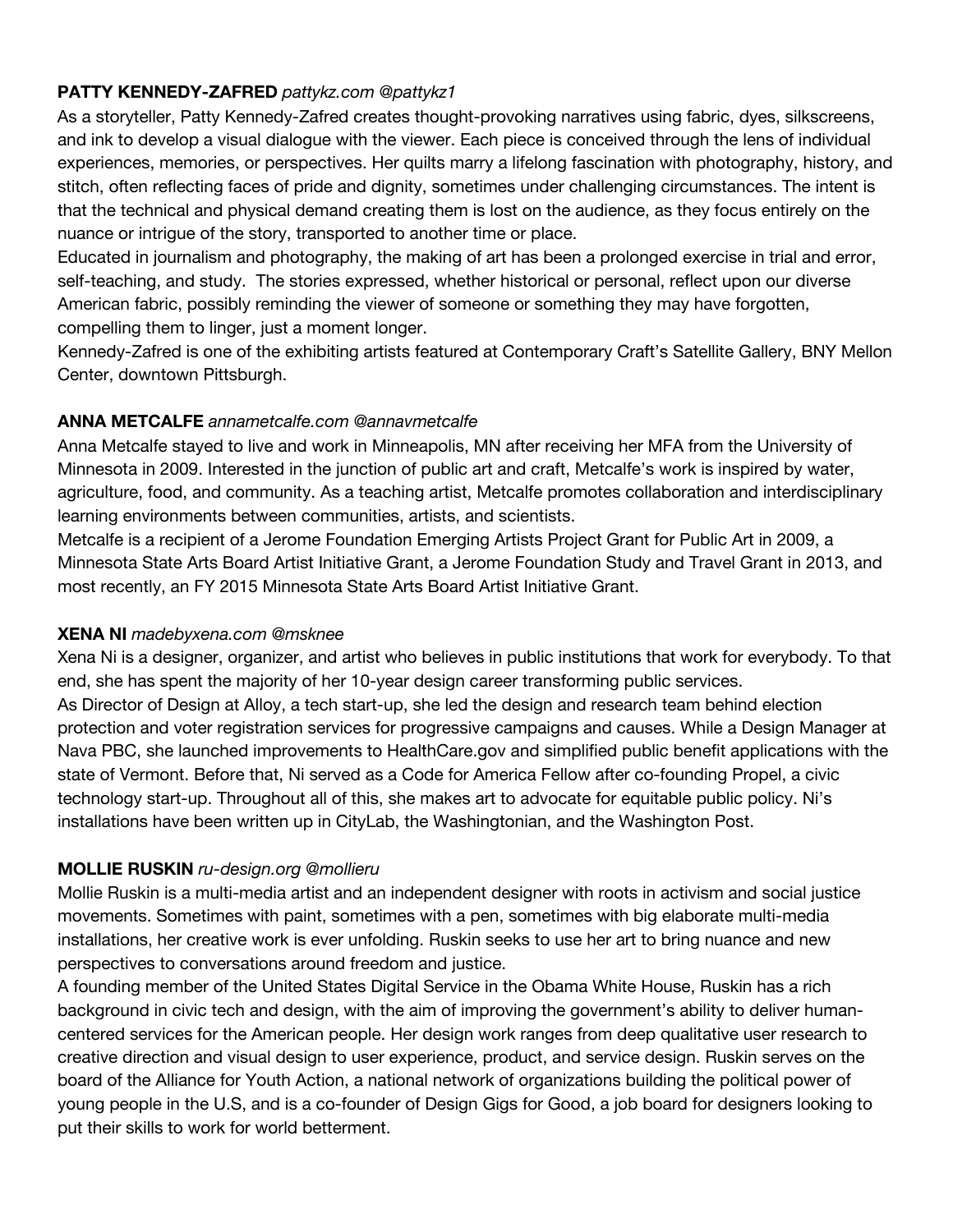#### **PATTY KENNEDY-ZAFRED** *pattykz.com @pattykz1*

As a storyteller, Patty Kennedy-Zafred creates thought-provoking narratives using fabric, dyes, silkscreens, and ink to develop a visual dialogue with the viewer. Each piece is conceived through the lens of individual experiences, memories, or perspectives. Her quilts marry a lifelong fascination with photography, history, and stitch, often reflecting faces of pride and dignity, sometimes under challenging circumstances. The intent is that the technical and physical demand creating them is lost on the audience, as they focus entirely on the nuance or intrigue of the story, transported to another time or place.

Educated in journalism and photography, the making of art has been a prolonged exercise in trial and error, self-teaching, and study. The stories expressed, whether historical or personal, reflect upon our diverse American fabric, possibly reminding the viewer of someone or something they may have forgotten, compelling them to linger, just a moment longer.

Kennedy-Zafred is one of the exhibiting artists featured at Contemporary Craft's Satellite Gallery, BNY Mellon Center, downtown Pittsburgh.

# **ANNA METCALFE** *annametcalfe.com @annavmetcalfe*

Anna Metcalfe stayed to live and work in Minneapolis, MN after receiving her MFA from the University of Minnesota in 2009. Interested in the junction of public art and craft, Metcalfe's work is inspired by water, agriculture, food, and community. As a teaching artist, Metcalfe promotes collaboration and interdisciplinary learning environments between communities, artists, and scientists.

Metcalfe is a recipient of a Jerome Foundation Emerging Artists Project Grant for Public Art in 2009, a Minnesota State Arts Board Artist Initiative Grant, a Jerome Foundation Study and Travel Grant in 2013, and most recently, an FY 2015 Minnesota State Arts Board Artist Initiative Grant.

#### **XENA NI** *madebyxena.com @msknee*

Xena Ni is a designer, organizer, and artist who believes in public institutions that work for everybody. To that end, she has spent the majority of her 10-year design career transforming public services. As Director of Design at Alloy, a tech start-up, she led the design and research team behind election protection and voter registration services for progressive campaigns and causes. While a Design Manager at Nava PBC, she launched improvements to HealthCare.gov and simplified public benefit applications with the state of Vermont. Before that, Ni served as a Code for America Fellow after co-founding Propel, a civic technology start-up. Throughout all of this, she makes art to advocate for equitable public policy. Ni's installations have been written up in CityLab, the Washingtonian, and the Washington Post.

# **MOLLIE RUSKIN** *ru-design.org @mollieru*

Mollie Ruskin is a multi-media artist and an independent designer with roots in activism and social justice movements. Sometimes with paint, sometimes with a pen, sometimes with big elaborate multi-media installations, her creative work is ever unfolding. Ruskin seeks to use her art to bring nuance and new perspectives to conversations around freedom and justice.

A founding member of the United States Digital Service in the Obama White House, Ruskin has a rich background in civic tech and design, with the aim of improving the government's ability to deliver humancentered services for the American people. Her design work ranges from deep qualitative user research to creative direction and visual design to user experience, product, and service design. Ruskin serves on the board of the Alliance for Youth Action, a national network of organizations building the political power of young people in the U.S, and is a co-founder of Design Gigs for Good, a job board for designers looking to put their skills to work for world betterment.